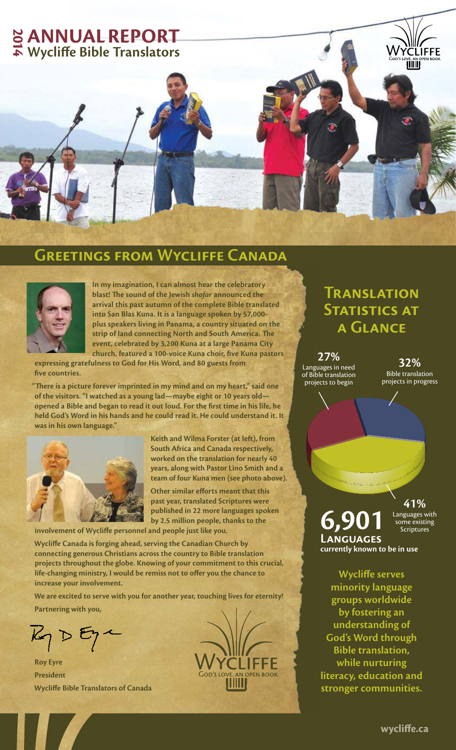

## **Greetings from Wycliffe Canada**



**In my imagination, I can almost hear the celebratory blast! The sound of the Jewish shofar announced the arrival this past autumn of the complete Bible translated into San Blas Kuna. It is a language spoken by 57,000 plus speakers living in Panama, a country situated on the strip of land connecting North and South America. The event, celebrated by 3,200 Kuna at a large Panama City church, featured a 100-voice Kuna choir, five Kuna pastors** 

**expressing gratefulness to God for His Word, and 80 guests from five countries.** 

**"There is a picture forever imprinted in my mind and on my heart," said one of the visitors. "I watched as a young lad—maybe eight or 10 years old opened a Bible and began to read it out loud. For the first time in his life, he held God's Word in his hands and he could read it. He could understand it. It was in his own language."**



**Keith and Wilma Forster (at left), from South Africa and Canada respectively, worked on the translation for nearly 40 years, along with Pastor Lino Smith and a team of four Kuna men (see photo above).** 

**Other similar efforts meant that this past year, translated Scriptures were published in 22 more languages spoken by 2.5 million people, thanks to the** 

**involvement of Wycliffe personnel and people just like you.**

**Wycliffe Canada is forging ahead, serving the Canadian Church by connecting generous Christians across the country to Bible translation projects throughout the globe. Knowing of your commitment to this crucial, life-changing ministry, I would be remiss not to offer you the chance to increase your involvement.** 

**We are excited to serve with you for another year, touching lives for eternity! Partnering with you,**

 $R_1 D E_1$ 

**Roy Eyre President Wycliffe Bible Translators of Canada**

## **Translation STATISTICS AT a Glance**

**27%** Languages in need of Bible translation projects to begin

**32%** Bible translation projects in progress

**41%**

**6,901 Languages currently known to be in use** Languages with some existing **Scriptures** 

**Wycliffe serves minority language groups worldwide by fostering an understanding of God's Word through Bible translation, while nurturing literacy, education and stronger communities.**